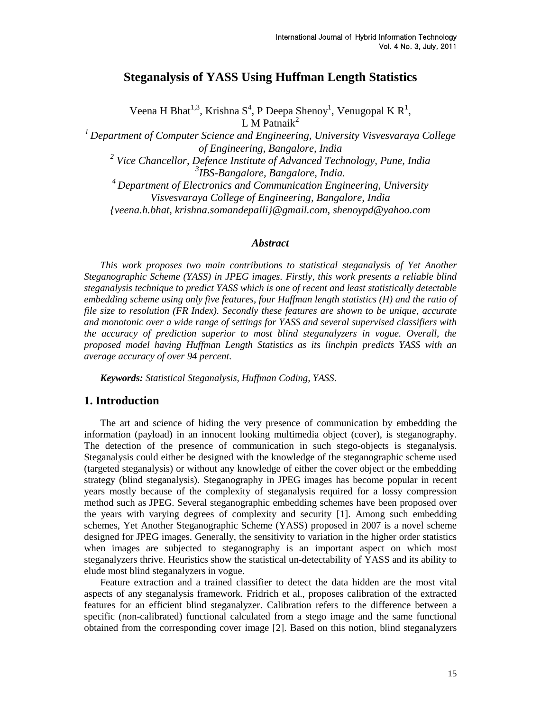# **Steganalysis of YASS Using Huffman Length Statistics**

Veena H Bhat<sup>1,3</sup>, Krishna S<sup>4</sup>, P Deepa Shenoy<sup>1</sup>, Venugopal K R<sup>1</sup>, L M Patnai $k^2$ 

*<sup>1</sup>Department of Computer Science and Engineering, University Visvesvaraya College of Engineering, Bangalore, India* 

<sup>2</sup> Vice Chancellor, Defence Institute of Advanced Technology, Pune, India *3 IBS-Bangalore, Bangalore, India.*

*<sup>4</sup> Department of Electronics and Communication Engineering, University Visvesvaraya College of Engineering, Bangalore, India {veena.h.bhat, krishna.somandepalli}@gmail.com, shenoypd@yahoo.com*

#### *Abstract*

*This work proposes two main contributions to statistical steganalysis of Yet Another Steganographic Scheme (YASS) in JPEG images. Firstly, this work presents a reliable blind steganalysis technique to predict YASS which is one of recent and least statistically detectable embedding scheme using only five features, four Huffman length statistics (H) and the ratio of file size to resolution (FR Index). Secondly these features are shown to be unique, accurate and monotonic over a wide range of settings for YASS and several supervised classifiers with the accuracy of prediction superior to most blind steganalyzers in vogue. Overall, the proposed model having Huffman Length Statistics as its linchpin predicts YASS with an average accuracy of over 94 percent.*

*Keywords: Statistical Steganalysis, Huffman Coding, YASS.*

### **1. Introduction**

The art and science of hiding the very presence of communication by embedding the information (payload) in an innocent looking multimedia object (cover), is steganography. The detection of the presence of communication in such stego-objects is steganalysis. Steganalysis could either be designed with the knowledge of the steganographic scheme used (targeted steganalysis) or without any knowledge of either the cover object or the embedding strategy (blind steganalysis). Steganography in JPEG images has become popular in recent years mostly because of the complexity of steganalysis required for a lossy compression method such as JPEG. Several steganographic embedding schemes have been proposed over the years with varying degrees of complexity and security [1]. Among such embedding schemes, Yet Another Steganographic Scheme (YASS) proposed in 2007 is a novel scheme designed for JPEG images. Generally, the sensitivity to variation in the higher order statistics when images are subjected to steganography is an important aspect on which most steganalyzers thrive. Heuristics show the statistical un-detectability of YASS and its ability to elude most blind steganalyzers in vogue.

Feature extraction and a trained classifier to detect the data hidden are the most vital aspects of any steganalysis framework. Fridrich et al., proposes calibration of the extracted features for an efficient blind steganalyzer. Calibration refers to the difference between a specific (non-calibrated) functional calculated from a stego image and the same functional obtained from the corresponding cover image [2]. Based on this notion, blind steganalyzers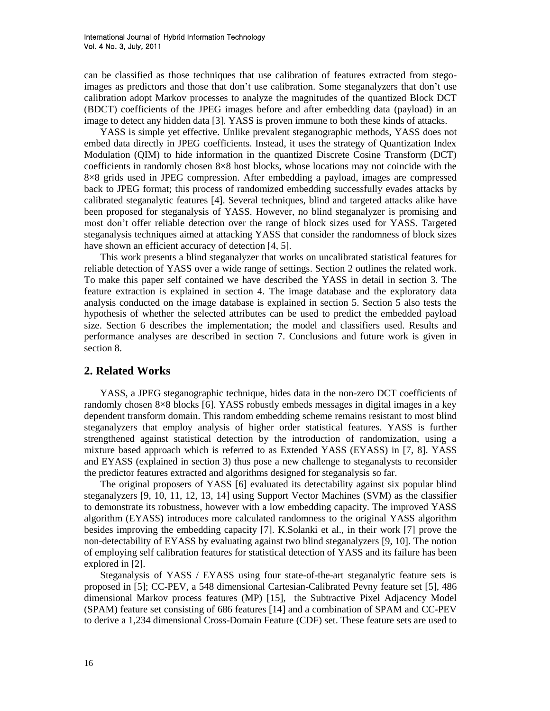can be classified as those techniques that use calibration of features extracted from stegoimages as predictors and those that don"t use calibration. Some steganalyzers that don"t use calibration adopt Markov processes to analyze the magnitudes of the quantized Block DCT (BDCT) coefficients of the JPEG images before and after embedding data (payload) in an image to detect any hidden data [3]. YASS is proven immune to both these kinds of attacks.

YASS is simple yet effective. Unlike prevalent steganographic methods, YASS does not embed data directly in JPEG coefficients. Instead, it uses the strategy of Quantization Index Modulation (QIM) to hide information in the quantized Discrete Cosine Transform (DCT) coefficients in randomly chosen 8×8 host blocks, whose locations may not coincide with the 8×8 grids used in JPEG compression. After embedding a payload, images are compressed back to JPEG format; this process of randomized embedding successfully evades attacks by calibrated steganalytic features [4]. Several techniques, blind and targeted attacks alike have been proposed for steganalysis of YASS. However, no blind steganalyzer is promising and most don"t offer reliable detection over the range of block sizes used for YASS. Targeted steganalysis techniques aimed at attacking YASS that consider the randomness of block sizes have shown an efficient accuracy of detection [4, 5].

This work presents a blind steganalyzer that works on uncalibrated statistical features for reliable detection of YASS over a wide range of settings. Section 2 outlines the related work. To make this paper self contained we have described the YASS in detail in section 3. The feature extraction is explained in section 4. The image database and the exploratory data analysis conducted on the image database is explained in section 5. Section 5 also tests the hypothesis of whether the selected attributes can be used to predict the embedded payload size. Section 6 describes the implementation; the model and classifiers used. Results and performance analyses are described in section 7. Conclusions and future work is given in section 8.

# **2. Related Works**

YASS, a JPEG steganographic technique, hides data in the non-zero DCT coefficients of randomly chosen 8×8 blocks [6]. YASS robustly embeds messages in digital images in a key dependent transform domain. This random embedding scheme remains resistant to most blind steganalyzers that employ analysis of higher order statistical features. YASS is further strengthened against statistical detection by the introduction of randomization, using a mixture based approach which is referred to as Extended YASS (EYASS) in [7, 8]. YASS and EYASS (explained in section 3) thus pose a new challenge to steganalysts to reconsider the predictor features extracted and algorithms designed for steganalysis so far.

The original proposers of YASS [6] evaluated its detectability against six popular blind steganalyzers [9, 10, 11, 12, 13, 14] using Support Vector Machines (SVM) as the classifier to demonstrate its robustness, however with a low embedding capacity. The improved YASS algorithm (EYASS) introduces more calculated randomness to the original YASS algorithm besides improving the embedding capacity [7]. K.Solanki et al., in their work [7] prove the non-detectability of EYASS by evaluating against two blind steganalyzers [9, 10]. The notion of employing self calibration features for statistical detection of YASS and its failure has been explored in [2].

Steganalysis of YASS / EYASS using four state-of-the-art steganalytic feature sets is proposed in [5]; CC-PEV, a 548 dimensional Cartesian-Calibrated Pevny feature set [5], 486 dimensional Markov process features (MP) [15], the Subtractive Pixel Adjacency Model (SPAM) feature set consisting of 686 features [14] and a combination of SPAM and CC-PEV to derive a 1,234 dimensional Cross-Domain Feature (CDF) set. These feature sets are used to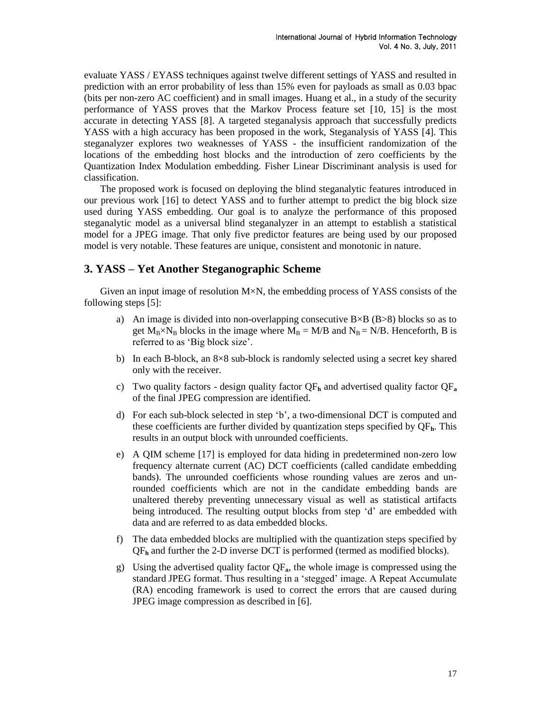evaluate YASS / EYASS techniques against twelve different settings of YASS and resulted in prediction with an error probability of less than 15% even for payloads as small as 0.03 bpac (bits per non-zero AC coefficient) and in small images. Huang et al., in a study of the security performance of YASS proves that the Markov Process feature set [10, 15] is the most accurate in detecting YASS [8]. A targeted steganalysis approach that successfully predicts YASS with a high accuracy has been proposed in the work, Steganalysis of YASS [4]. This steganalyzer explores two weaknesses of YASS - the insufficient randomization of the locations of the embedding host blocks and the introduction of zero coefficients by the Quantization Index Modulation embedding. Fisher Linear Discriminant analysis is used for classification.

The proposed work is focused on deploying the blind steganalytic features introduced in our previous work [16] to detect YASS and to further attempt to predict the big block size used during YASS embedding. Our goal is to analyze the performance of this proposed steganalytic model as a universal blind steganalyzer in an attempt to establish a statistical model for a JPEG image. That only five predictor features are being used by our proposed model is very notable. These features are unique, consistent and monotonic in nature.

# **3. YASS – Yet Another Steganographic Scheme**

Given an input image of resolution  $M \times N$ , the embedding process of YASS consists of the following steps [5]:

- a) An image is divided into non-overlapping consecutive  $B \times B$  ( $B > 8$ ) blocks so as to get  $M_B \times N_B$  blocks in the image where  $M_B = M/B$  and  $N_B = N/B$ . Henceforth, B is referred to as "Big block size".
- b) In each B-block, an 8×8 sub-block is randomly selected using a secret key shared only with the receiver.
- c) Two quality factors design quality factor  $QF_h$  and advertised quality factor  $QF_a$ of the final JPEG compression are identified.
- d) For each sub-block selected in step "b", a two-dimensional DCT is computed and these coefficients are further divided by quantization steps specified by QF**h**. This results in an output block with unrounded coefficients.
- e) A QIM scheme [17] is employed for data hiding in predetermined non-zero low frequency alternate current (AC) DCT coefficients (called candidate embedding bands). The unrounded coefficients whose rounding values are zeros and unrounded coefficients which are not in the candidate embedding bands are unaltered thereby preventing unnecessary visual as well as statistical artifacts being introduced. The resulting output blocks from step "d" are embedded with data and are referred to as data embedded blocks.
- f) The data embedded blocks are multiplied with the quantization steps specified by QF**<sup>h</sup>** and further the 2-D inverse DCT is performed (termed as modified blocks).
- g) Using the advertised quality factor QF**a**, the whole image is compressed using the standard JPEG format. Thus resulting in a "stegged" image. A Repeat Accumulate (RA) encoding framework is used to correct the errors that are caused during JPEG image compression as described in [6].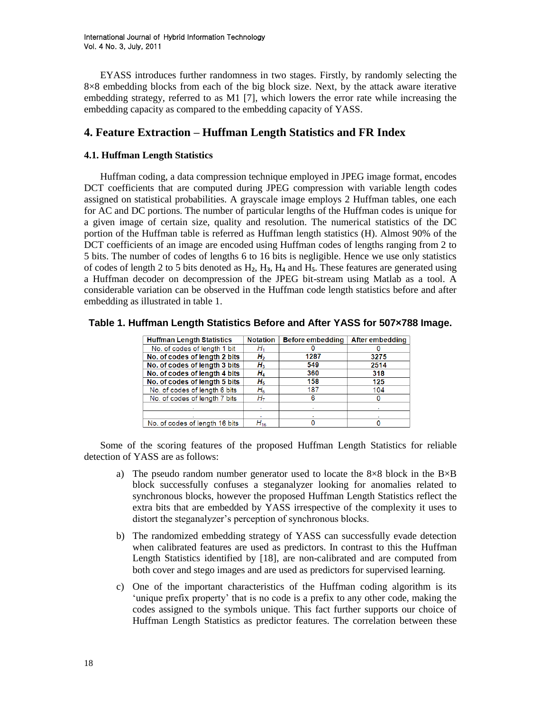EYASS introduces further randomness in two stages. Firstly, by randomly selecting the 8×8 embedding blocks from each of the big block size. Next, by the attack aware iterative embedding strategy, referred to as M1 [7], which lowers the error rate while increasing the embedding capacity as compared to the embedding capacity of YASS.

# **4. Feature Extraction – Huffman Length Statistics and FR Index**

### **4.1. Huffman Length Statistics**

Huffman coding, a data compression technique employed in JPEG image format, encodes DCT coefficients that are computed during JPEG compression with variable length codes assigned on statistical probabilities. A grayscale image employs 2 Huffman tables, one each for AC and DC portions. The number of particular lengths of the Huffman codes is unique for a given image of certain size, quality and resolution. The numerical statistics of the DC portion of the Huffman table is referred as Huffman length statistics (H). Almost 90% of the DCT coefficients of an image are encoded using Huffman codes of lengths ranging from 2 to 5 bits. The number of codes of lengths 6 to 16 bits is negligible. Hence we use only statistics of codes of length 2 to 5 bits denoted as H**2**, H**3**, H**<sup>4</sup>** and H**5**. These features are generated using a Huffman decoder on decompression of the JPEG bit-stream using Matlab as a tool. A considerable variation can be observed in the Huffman code length statistics before and after embedding as illustrated in table 1.

| <b>Huffman Length Statistics</b> | <b>Notation</b> | <b>Before embedding</b> | After embedding |
|----------------------------------|-----------------|-------------------------|-----------------|
| No. of codes of length 1 bit     |                 |                         |                 |
| No. of codes of length 2 bits    | н,              | 1287                    | 3275            |
| No. of codes of length 3 bits    | Н3              | 549                     | 2514            |
| No. of codes of length 4 bits    | H,              | 360                     | 318             |
| No. of codes of length 5 bits    | н,              | 158                     | 125             |
| No. of codes of length 6 bits    | $H_6$           | 187                     | 104             |
| No. of codes of length 7 bits    | H7              | 6                       | 0               |
|                                  |                 |                         |                 |
|                                  |                 |                         |                 |
| No. of codes of length 16 bits   | $H_{16}$        |                         |                 |

**Table 1. Huffman Length Statistics Before and After YASS for 507×788 Image.**

Some of the scoring features of the proposed Huffman Length Statistics for reliable detection of YASS are as follows:

- a) The pseudo random number generator used to locate the  $8\times8$  block in the B $\times$ B block successfully confuses a steganalyzer looking for anomalies related to synchronous blocks, however the proposed Huffman Length Statistics reflect the extra bits that are embedded by YASS irrespective of the complexity it uses to distort the steganalyzer's perception of synchronous blocks.
- b) The randomized embedding strategy of YASS can successfully evade detection when calibrated features are used as predictors. In contrast to this the Huffman Length Statistics identified by [18], are non-calibrated and are computed from both cover and stego images and are used as predictors for supervised learning.
- c) One of the important characteristics of the Huffman coding algorithm is its "unique prefix property" that is no code is a prefix to any other code, making the codes assigned to the symbols unique. This fact further supports our choice of Huffman Length Statistics as predictor features. The correlation between these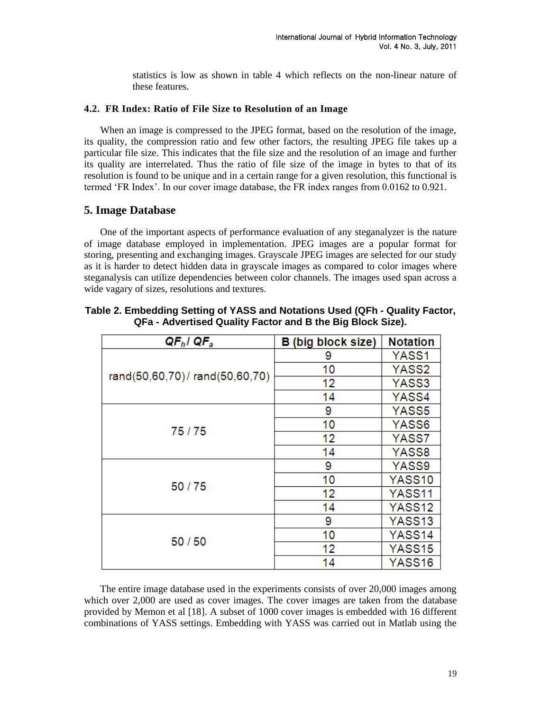statistics is low as shown in table 4 which reflects on the non-linear nature of these features.

# **4.2. FR Index: Ratio of File Size to Resolution of an Image**

When an image is compressed to the JPEG format, based on the resolution of the image, its quality, the compression ratio and few other factors, the resulting JPEG file takes up a particular file size. This indicates that the file size and the resolution of an image and further its quality are interrelated. Thus the ratio of file size of the image in bytes to that of its resolution is found to be unique and in a certain range for a given resolution, this functional is termed "FR Index". In our cover image database, the FR index ranges from 0.0162 to 0.921.

# **5. Image Database**

One of the important aspects of performance evaluation of any steganalyzer is the nature of image database employed in implementation. JPEG images are a popular format for storing, presenting and exchanging images. Grayscale JPEG images are selected for our study as it is harder to detect hidden data in grayscale images as compared to color images where steganalysis can utilize dependencies between color channels. The images used span across a wide vagary of sizes, resolutions and textures.

| $QF_h$ l Q $F_a$              | <b>B</b> (big block size) | <b>Notation</b> |
|-------------------------------|---------------------------|-----------------|
|                               | 9                         | YASS1           |
| rand(50,60,70)/rand(50,60,70) | 10                        | YASS2           |
|                               | 12                        | YASS3           |
|                               | 14                        | YASS4           |
|                               | 9                         | YASS5           |
| 75/75                         | 10                        | YASS6           |
|                               | 12                        | YASS7           |
|                               | 14                        | YASS8           |
|                               | 9                         | YASS9           |
| 50/75                         | 10                        | YASS10          |
|                               | 12                        | YASS11          |
|                               | 14                        | YASS12          |
|                               | 9                         | YASS13          |
| 50/50                         | 10                        | YASS14          |
|                               | 12                        | YASS15          |
|                               | 14                        | YASS16          |

**Table 2. Embedding Setting of YASS and Notations Used (QFh - Quality Factor, QFa - Advertised Quality Factor and B the Big Block Size).**

The entire image database used in the experiments consists of over 20,000 images among which over 2,000 are used as cover images. The cover images are taken from the database provided by Memon et al [18]. A subset of 1000 cover images is embedded with 16 different combinations of YASS settings. Embedding with YASS was carried out in Matlab using the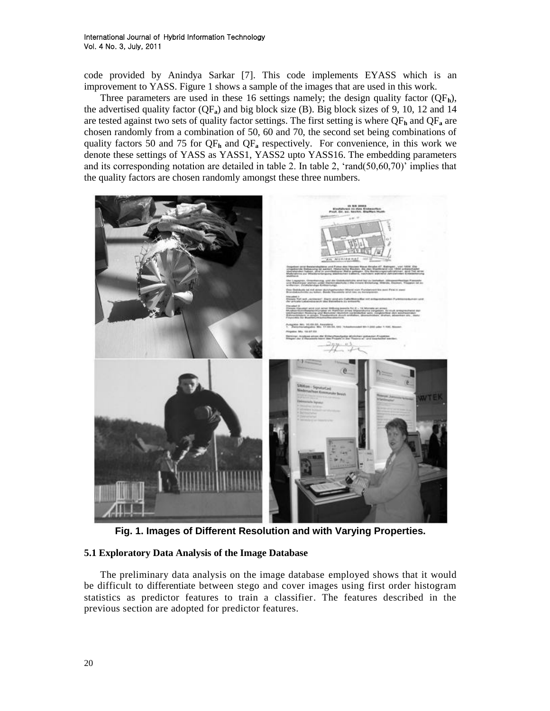code provided by Anindya Sarkar [7]. This code implements EYASS which is an improvement to YASS. Figure 1 shows a sample of the images that are used in this work.

Three parameters are used in these 16 settings namely; the design quality factor  $(QF_h)$ , the advertised quality factor (QF**a**) and big block size (B). Big block sizes of 9, 10, 12 and 14 are tested against two sets of quality factor settings. The first setting is where  $QF_h$  and  $QF_a$  are chosen randomly from a combination of 50, 60 and 70, the second set being combinations of quality factors 50 and 75 for QF**<sup>h</sup>** and QF**<sup>a</sup>** respectively. For convenience, in this work we denote these settings of YASS as YASS1, YASS2 upto YASS16. The embedding parameters and its corresponding notation are detailed in table 2. In table 2, 'rand $(50,60,70)$ ' implies that the quality factors are chosen randomly amongst these three numbers.



**Fig. 1. Images of Different Resolution and with Varying Properties.**

# **5.1 Exploratory Data Analysis of the Image Database**

The preliminary data analysis on the image database employed shows that it would be difficult to differentiate between stego and cover images using first order histogram statistics as predictor features to train a classifier. The features described in the previous section are adopted for predictor features.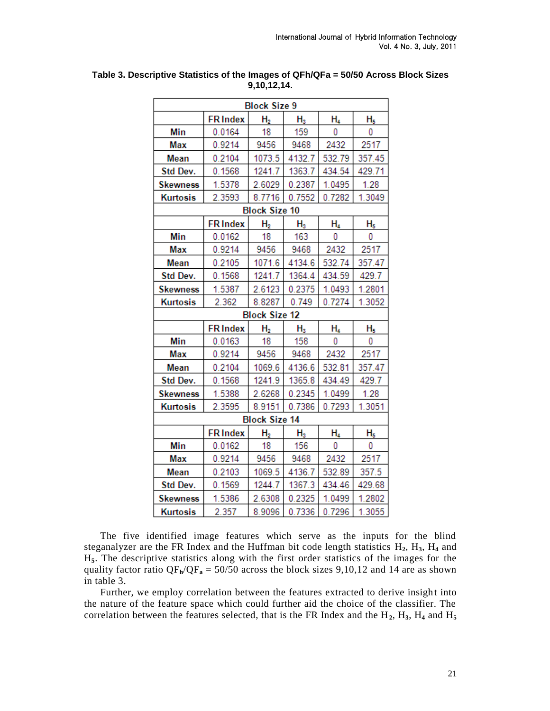| <b>Block Size 9</b> |                 |                      |             |        |        |  |  |  |
|---------------------|-----------------|----------------------|-------------|--------|--------|--|--|--|
|                     | <b>FRIndex</b>  | H <sub>2</sub>       | $H_3$       | H4     | H5     |  |  |  |
| Min                 | 0.0164          | 18                   | 159         | 0      | 0      |  |  |  |
| Max                 | 0.9214          | 9456                 | 9468        | 2432   | 2517   |  |  |  |
| Mean                | 0.2104          | 1073.5               | 4132.7      | 532.79 | 357.45 |  |  |  |
| Std Dev.            | 0.1568          | 1241.7               | 1363.7      | 434.54 | 429.71 |  |  |  |
| <b>Skewness</b>     | 1.5378          | 2.6029               | 0.2387      | 1.0495 | 1.28   |  |  |  |
| <b>Kurtosis</b>     | 2.3593          | 8.7716               | 0.7552      | 0.7282 | 1.3049 |  |  |  |
|                     |                 | <b>Block Size 10</b> |             |        |        |  |  |  |
|                     | <b>FR Index</b> | H <sub>2</sub>       | ${\sf H}_3$ | Н4     | H5     |  |  |  |
| Min                 | 0.0162          | 18                   | 163         | 0      | 0      |  |  |  |
| Max                 | 0.9214          | 9456                 | 9468        | 2432   | 2517   |  |  |  |
| Mean                | 0.2105          | 1071.6               | 4134.6      | 532.74 | 357.47 |  |  |  |
| Std Dev.            | 0.1568          | 1241.7               | 1364.4      | 434.59 | 429.7  |  |  |  |
| <b>Skewness</b>     | 1.5387          | 2.6123               | 0.2375      | 1.0493 | 1.2801 |  |  |  |
| <b>Kurtosis</b>     | 2.362           | 8.8287               | 0.749       | 0.7274 | 1.3052 |  |  |  |
|                     |                 | <b>Block Size 12</b> |             |        |        |  |  |  |
|                     | <b>FRIndex</b>  | H <sub>2</sub>       | $H_3$       | H4     | H5     |  |  |  |
| Min                 | 0.0163          | 18                   | 158         | 0      | 0      |  |  |  |
| Max                 | 0.9214          | 9456                 | 9468        | 2432   | 2517   |  |  |  |
| Mean                | 0.2104          | 1069.6               | 4136.6      | 532.81 | 357.47 |  |  |  |
| Std Dev.            | 0.1568          | 1241.9               | 1365.8      | 434.49 | 429.7  |  |  |  |
| <b>Skewness</b>     | 1.5388          | 2.6268               | 0.2345      | 1.0499 | 1.28   |  |  |  |
| Kurtosis            | 2.3595          | 8.9151               | 0.7386      | 0.7293 | 1.3051 |  |  |  |
|                     |                 | <b>Block Size 14</b> |             |        |        |  |  |  |
|                     | <b>FRIndex</b>  | H <sub>2</sub>       | $H_3$       | Н4     | H5     |  |  |  |
| Min                 | 0.0162          | 18                   | 156         | 0      | 0      |  |  |  |
| Max                 | 0.9214          | 9456                 | 9468        | 2432   | 2517   |  |  |  |
| Mean                | 0.2103          | 1069.5               | 4136.7      | 532.89 | 357.5  |  |  |  |
| Std Dev.            | 0.1569          | 1244.7               | 1367.3      | 434.46 | 429.68 |  |  |  |
| <b>Skewness</b>     | 1.5386          | 2.6308               | 0.2325      | 1.0499 | 1.2802 |  |  |  |
| <b>Kurtosis</b>     | 2.357           | 8.9096               | 0.7336      | 0.7296 | 1.3055 |  |  |  |

**Table 3. Descriptive Statistics of the Images of QFh/QFa = 50/50 Across Block Sizes 9,10,12,14.**

The five identified image features which serve as the inputs for the blind steganalyzer are the FR Index and the Huffman bit code length statistics H**2**, H**3**, H**<sup>4</sup>** and H**5**. The descriptive statistics along with the first order statistics of the images for the quality factor ratio  $QF_h/QF_a = 50/50$  across the block sizes 9,10,12 and 14 are as shown in table 3.

Further, we employ correlation between the features extracted to derive insight into the nature of the feature space which could further aid the choice of the classifier. The correlation between the features selected, that is the FR Index and the H**2**, H**3**, H**<sup>4</sup>** and H**<sup>5</sup>**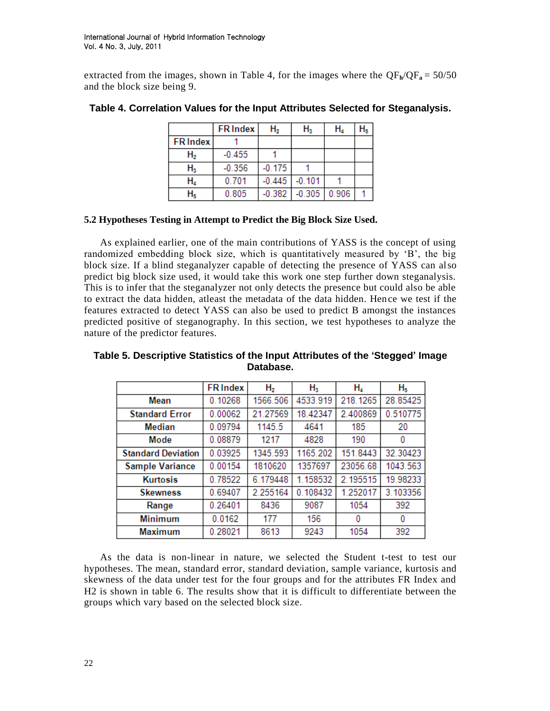extracted from the images, shown in Table 4, for the images where the  $QF_h/QF_a = 50/50$ and the block size being 9.

|                 | <b>FR Index</b> | Н,       | $H_3$    | Н,    |  |
|-----------------|-----------------|----------|----------|-------|--|
| <b>FR Index</b> |                 |          |          |       |  |
| ${\sf H_2}$     | $-0.455$        |          |          |       |  |
| ${\sf H}_3$     | $-0.356$        | $-0.175$ |          |       |  |
| н,              | 0.701           | $-0.445$ | $-0.101$ |       |  |
|                 | 0.805           | $-0.382$ | $-0.305$ | 0.906 |  |

### **Table 4. Correlation Values for the Input Attributes Selected for Steganalysis.**

# **5.2 Hypotheses Testing in Attempt to Predict the Big Block Size Used.**

As explained earlier, one of the main contributions of YASS is the concept of using randomized embedding block size, which is quantitatively measured by "B", the big block size. If a blind steganalyzer capable of detecting the presence of YASS can also predict big block size used, it would take this work one step further down steganalysis. This is to infer that the steganalyzer not only detects the presence but could also be able to extract the data hidden, atleast the metadata of the data hidden. Hence we test if the features extracted to detect YASS can also be used to predict B amongst the instances predicted positive of steganography. In this section, we test hypotheses to analyze the nature of the predictor features.

|                           | <b>FRIndex</b> | Η,       | $H_3$    | H,       | H <sub>5</sub> |
|---------------------------|----------------|----------|----------|----------|----------------|
| Mean                      | 0.10268        | 1566.506 | 4533.919 | 218.1265 | 28.85425       |
| <b>Standard Error</b>     | 0.00062        | 21.27569 | 18.42347 | 2.400869 | 0.510775       |
| Median                    | 0.09794        | 1145.5   | 4641     | 185      | 20             |
| Mode                      | 0.08879        | 1217     | 4828     | 190      | 0              |
| <b>Standard Deviation</b> | 0.03925        | 1345.593 | 1165.202 | 151.8443 | 32.30423       |
| <b>Sample Variance</b>    | 0.00154        | 1810620  | 1357697  | 23056.68 | 1043.563       |
| <b>Kurtosis</b>           | 0.78522        | 6.179448 | 1.158532 | 2.195515 | 19.98233       |
| <b>Skewness</b>           | 0.69407        | 2.255164 | 0.108432 | 1.252017 | 3.103356       |
| Range                     | 0.26401        | 8436     | 9087     | 1054     | 392            |
| <b>Minimum</b>            | 0.0162         | 177      | 156      | 0        | 0              |
| <b>Maximum</b>            | 0.28021        | 8613     | 9243     | 1054     | 392            |

**Table 5. Descriptive Statistics of the Input Attributes of the 'Stegged' Image Database.**

As the data is non-linear in nature, we selected the Student t-test to test our hypotheses. The mean, standard error, standard deviation, sample variance, kurtosis and skewness of the data under test for the four groups and for the attributes FR Index and H2 is shown in table 6. The results show that it is difficult to differentiate between the groups which vary based on the selected block size.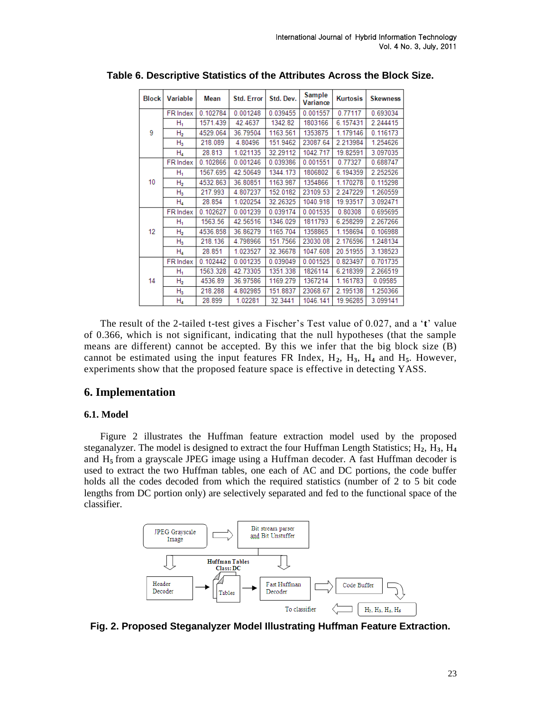| <b>Block</b> | Variable        | <b>Mean</b> | <b>Std. Error</b> | Std. Dev. | Sample<br>Variance | <b>Kurtosis</b> | <b>Skewness</b> |
|--------------|-----------------|-------------|-------------------|-----------|--------------------|-----------------|-----------------|
|              | <b>FR</b> Index | 0.102784    | 0.001248          | 0.039455  | 0.001557           | 0.77117         | 0.693034        |
|              | Н,              | 1571.439    | 42.4637           | 1342.82   | 1803166            | 6.157431        | 2.244415        |
| 9            | H <sub>2</sub>  | 4529.064    | 36.79504          | 1163.561  | 1353875            | 1.179146        | 0.116173        |
|              | $H_3$           | 218.089     | 4.80496           | 151.9462  | 23087.64           | 2.213984        | 1.254626        |
|              | $H_4$           | 28.813      | 1.021135          | 32.29112  | 1042.717           | 19.82591        | 3.097035        |
|              | FR Index        | 0.102866    | 0.001246          | 0.039386  | 0.001551           | 0.77327         | 0.688747        |
|              | Н,              | 1567.695    | 42.50649          | 1344.173  | 1806802            | 6.194359        | 2.252526        |
| 10           | Н,              | 4532.863    | 36.80851          | 1163.987  | 1354866            | 1.170278        | 0.115298        |
|              | $H_3$           | 217.993     | 4.807237          | 152.0182  | 23109.53           | 2.247229        | 1.260559        |
|              | H4              | 28.854      | 1.020254          | 32.26325  | 1040.918           | 19.93517        | 3.092471        |
|              | FR Index        | 0.102627    | 0.001239          | 0.039174  | 0.001535           | 0.80308         | 0.695695        |
|              | Н,              | 1563.56     | 42.56516          | 1346.029  | 1811793            | 6.258299        | 2.267266        |
| 12           | н,              | 4536.858    | 36.86279          | 1165.704  | 1358865            | 1.158694        | 0.106988        |
|              | $H_3$           | 218.136     | 4.798966          | 151.7566  | 23030.08           | 2.176596        | 1.248134        |
|              | $H_4$           | 28.851      | 1.023527          | 32.36678  | 1047.608           | 20.51955        | 3.138523        |
|              | FR Index        | 0.102442    | 0.001235          | 0.039049  | 0.001525           | 0.823497        | 0.701735        |
|              | Н,              | 1563.328    | 42.73305          | 1351.338  | 1826114            | 6.218399        | 2.266519        |
| 14           | H <sub>2</sub>  | 4536.89     | 36.97586          | 1169.279  | 1367214            | 1.161783        | 0.09585         |
|              | $H_3$           | 218.288     | 4.802985          | 151.8837  | 23068.67           | 2.195138        | 1.250366        |
|              | Η,              | 28.899      | 1.02281           | 32.3441   | 1046.141           | 19.96285        | 3.099141        |

**Table 6. Descriptive Statistics of the Attributes Across the Block Size.**

The result of the 2-tailed t-test gives a Fischer"s Test value of 0.027, and a "**t**" value of 0.366, which is not significant, indicating that the null hypotheses (that the sample means are different) cannot be accepted. By this we infer that the big block size (B) cannot be estimated using the input features FR Index,  $H_2$ ,  $H_3$ ,  $H_4$  and  $H_5$ . However, experiments show that the proposed feature space is effective in detecting YASS.

# **6. Implementation**

#### **6.1. Model**

Figure 2 illustrates the Huffman feature extraction model used by the proposed steganalyzer. The model is designed to extract the four Huffman Length Statistics;  $H_2$ ,  $H_3$ ,  $H_4$ and H**<sup>5</sup>** from a grayscale JPEG image using a Huffman decoder. A fast Huffman decoder is used to extract the two Huffman tables, one each of AC and DC portions, the code buffer holds all the codes decoded from which the required statistics (number of 2 to 5 bit code lengths from DC portion only) are selectively separated and fed to the functional space of the classifier.



**Fig. 2. Proposed Steganalyzer Model Illustrating Huffman Feature Extraction.**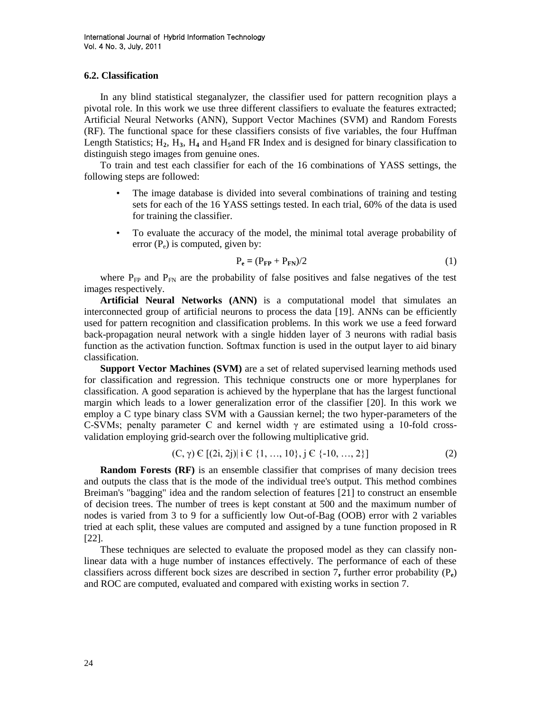#### **6.2. Classification**

In any blind statistical steganalyzer, the classifier used for pattern recognition plays a pivotal role. In this work we use three different classifiers to evaluate the features extracted; Artificial Neural Networks (ANN), Support Vector Machines (SVM) and Random Forests (RF). The functional space for these classifiers consists of five variables, the four Huffman Length Statistics;  $H_2$ ,  $H_3$ ,  $H_4$  and  $H_5$ and FR Index and is designed for binary classification to distinguish stego images from genuine ones.

To train and test each classifier for each of the 16 combinations of YASS settings, the following steps are followed:

- The image database is divided into several combinations of training and testing sets for each of the 16 YASS settings tested. In each trial, 60% of the data is used for training the classifier.
- To evaluate the accuracy of the model, the minimal total average probability of error  $(P_e)$  is computed, given by:

$$
P_e = (P_{FP} + P_{FN})/2
$$
 (1)

where  $P_{FP}$  and  $P_{FN}$  are the probability of false positives and false negatives of the test images respectively.

**Artificial Neural Networks (ANN)** is a computational model that simulates an interconnected group of artificial neurons to process the data [19]. ANNs can be efficiently used for pattern recognition and classification problems. In this work we use a feed forward back-propagation neural network with a single hidden layer of 3 neurons with radial basis function as the activation function. Softmax function is used in the output layer to aid binary classification.

**Support Vector Machines (SVM)** are a set of related supervised learning methods used for classification and regression. This technique constructs one or more hyperplanes for classification. A good separation is achieved by the hyperplane that has the largest functional margin which leads to a lower generalization error of the classifier [20]. In this work we employ a C type binary class SVM with a Gaussian kernel; the two hyper-parameters of the C-SVMs; penalty parameter C and kernel width  $\gamma$  are estimated using a 10-fold crossvalidation employing grid-search over the following multiplicative grid.

$$
(C, \gamma) \in [(2i, 2j)] \text{ i } C \{1, ..., 10\}, j \in \{-10, ..., 2\}]
$$
 (2)

**Random Forests (RF)** is an ensemble classifier that comprises of many decision trees and outputs the class that is the mode of the individual tree's output. This method combines Breiman's "bagging" idea and the random selection of features [21] to construct an ensemble of decision trees. The number of trees is kept constant at 500 and the maximum number of nodes is varied from 3 to 9 for a sufficiently low Out-of-Bag (OOB) error with 2 variables tried at each split, these values are computed and assigned by a tune function proposed in R [22].

These techniques are selected to evaluate the proposed model as they can classify nonlinear data with a huge number of instances effectively. The performance of each of these classifiers across different bock sizes are described in section 7**,** further error probability (P**e**) and ROC are computed, evaluated and compared with existing works in section 7.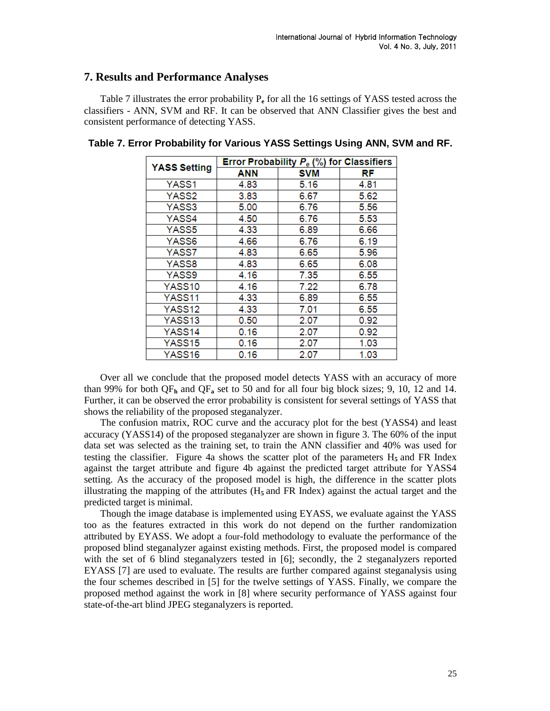# **7. Results and Performance Analyses**

Table 7 illustrates the error probability P**<sup>e</sup>** for all the 16 settings of YASS tested across the classifiers - ANN, SVM and RF. It can be observed that ANN Classifier gives the best and consistent performance of detecting YASS.

|                     | Error Probability $P_e$ (%) for Classifiers |      |      |  |  |  |
|---------------------|---------------------------------------------|------|------|--|--|--|
| <b>YASS Setting</b> | ANN                                         | SVM  | RF   |  |  |  |
| YASS1               | 4.83                                        | 5.16 | 4.81 |  |  |  |
| YASS2               | 3.83                                        | 6.67 | 5.62 |  |  |  |
| YASS3               | 5.00                                        | 6.76 | 5.56 |  |  |  |
| YASS4               | 4.50                                        | 6.76 | 5.53 |  |  |  |
| YASS5               | 4.33                                        | 6.89 | 6.66 |  |  |  |
| YASS6               | 4.66                                        | 6.76 | 6.19 |  |  |  |
| YASS7               | 4.83                                        | 6.65 | 5.96 |  |  |  |
| YASS8               | 4.83                                        | 6.65 | 6.08 |  |  |  |
| YASS9               | 4.16                                        | 7.35 | 6.55 |  |  |  |
| YASS <sub>10</sub>  | 4.16                                        | 7.22 | 6.78 |  |  |  |
| YASS11              | 4.33                                        | 6.89 | 6.55 |  |  |  |
| YASS <sub>12</sub>  | 4.33                                        | 7.01 | 6.55 |  |  |  |
| YASS13              | 0.50                                        | 2.07 | 0.92 |  |  |  |
| YASS14              | 0.16                                        | 2.07 | 0.92 |  |  |  |
| YASS15              | 0.16                                        | 2.07 | 1.03 |  |  |  |
| YASS16              | 0.16                                        | 2.07 | 1.03 |  |  |  |

# **Table 7. Error Probability for Various YASS Settings Using ANN, SVM and RF.**

Over all we conclude that the proposed model detects YASS with an accuracy of more than 99% for both QF**<sup>h</sup>** and QF**<sup>a</sup>** set to 50 and for all four big block sizes; 9, 10, 12 and 14. Further, it can be observed the error probability is consistent for several settings of YASS that shows the reliability of the proposed steganalyzer.

The confusion matrix, ROC curve and the accuracy plot for the best (YASS4) and least accuracy (YASS14) of the proposed steganalyzer are shown in figure 3. The 60% of the input data set was selected as the training set, to train the ANN classifier and 40% was used for testing the classifier. Figure 4a shows the scatter plot of the parameters  $H_5$  and FR Index against the target attribute and figure 4b against the predicted target attribute for YASS4 setting. As the accuracy of the proposed model is high, the difference in the scatter plots illustrating the mapping of the attributes  $(H_5 \text{ and } FR \text{ Index})$  against the actual target and the predicted target is minimal.

Though the image database is implemented using EYASS, we evaluate against the YASS too as the features extracted in this work do not depend on the further randomization attributed by EYASS. We adopt a four-fold methodology to evaluate the performance of the proposed blind steganalyzer against existing methods. First, the proposed model is compared with the set of 6 blind steganalyzers tested in [6]; secondly, the 2 steganalyzers reported EYASS [7] are used to evaluate. The results are further compared against steganalysis using the four schemes described in [5] for the twelve settings of YASS. Finally, we compare the proposed method against the work in [8] where security performance of YASS against four state-of-the-art blind JPEG steganalyzers is reported.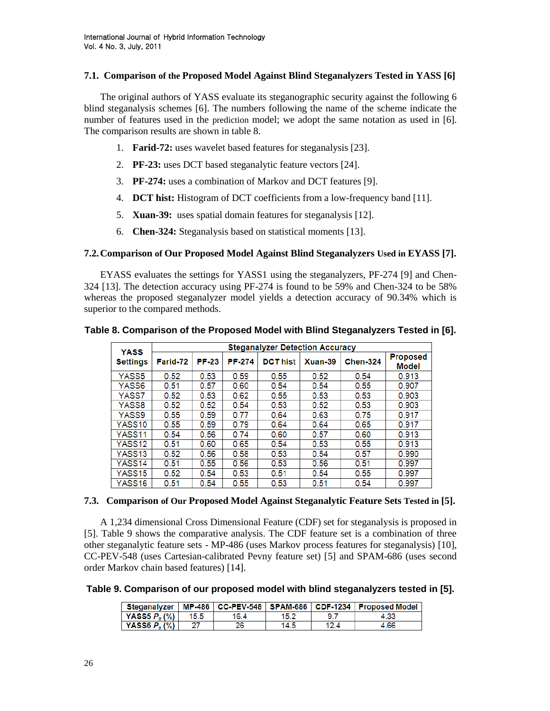### **7.1. Comparison of the Proposed Model Against Blind Steganalyzers Tested in YASS [6]**

The original authors of YASS evaluate its steganographic security against the following 6 blind steganalysis schemes [6]. The numbers following the name of the scheme indicate the number of features used in the prediction model; we adopt the same notation as used in [6]. The comparison results are shown in table 8.

- 1. **Farid-72:** uses wavelet based features for steganalysis [23].
- 2. **PF-23:** uses DCT based steganalytic feature vectors [24].
- 3. **PF-274:** uses a combination of Markov and DCT features [9].
- 4. **DCT hist:** Histogram of DCT coefficients from a low-frequency band [11].
- 5. **Xuan-39:** uses spatial domain features for steganalysis [12].
- 6. **Chen-324:** Steganalysis based on statistical moments [13].

# **7.2.Comparison of Our Proposed Model Against Blind Steganalyzers Used in EYASS [7].**

EYASS evaluates the settings for YASS1 using the steganalyzers, PF-274 [9] and Chen-324 [13]. The detection accuracy using PF-274 is found to be 59% and Chen-324 to be 58% whereas the proposed steganalyzer model yields a detection accuracy of 90.34% which is superior to the compared methods.

|                                | <b>Steganalyzer Detection Accuracy</b> |              |               |                 |         |                 |                                 |
|--------------------------------|----------------------------------------|--------------|---------------|-----------------|---------|-----------------|---------------------------------|
| <b>YASS</b><br><b>Settings</b> | Farid-72                               | <b>PF-23</b> | <b>PF-274</b> | <b>DCT hist</b> | Xuan-39 | <b>Chen-324</b> | <b>Proposed</b><br><b>Model</b> |
| YASS5                          | 0.52                                   | 0.53         | 0.59          | 0.55            | 0.52    | 0.54            | 0.913                           |
| YASS6                          | 0.51                                   | 0.57         | 0.60          | 0.54            | 0.54    | 0.55            | 0.907                           |
| YASS7                          | 0.52                                   | 0.53         | 0.62          | 0.55            | 0.53    | 0.53            | 0.903                           |
| YASS8                          | 0.52                                   | 0.52         | 0.54          | 0.53            | 0.52    | 0.53            | 0.903                           |
| YASS9                          | 0.55                                   | 0.59         | 0.77          | 0.64            | 0.63    | 0.75            | 0.917                           |
| YASS10                         | 0.55                                   | 0.59         | 0.79          | 0.64            | 0.64    | 0.65            | 0.917                           |
| YASS11                         | 0.54                                   | 0.56         | 0.74          | 0.60            | 0.57    | 0.60            | 0.913                           |
| YASS12                         | 0.51                                   | 0.60         | 0.65          | 0.54            | 0.53    | 0.55            | 0.913                           |
| YASS13                         | 0.52                                   | 0.56         | 0.58          | 0.53            | 0.54    | 0.57            | 0.990                           |
| YASS <sub>14</sub>             | 0.51                                   | 0.55         | 0.56          | 0.53            | 0.56    | 0.51            | 0.997                           |
| YASS15                         | 0.52                                   | 0.54         | 0.53          | 0.51            | 0.54    | 0.55            | 0.997                           |
| YASS <sub>16</sub>             | 0.51                                   | 0.54         | 0.55          | 0.53            | 0.51    | 0.54            | 0.997                           |

**Table 8. Comparison of the Proposed Model with Blind Steganalyzers Tested in [6].**

# **7.3. Comparison of Our Proposed Model Against Steganalytic Feature Sets Tested in [5].**

A 1,234 dimensional Cross Dimensional Feature (CDF) set for steganalysis is proposed in [5]. Table 9 shows the comparative analysis. The CDF feature set is a combination of three other steganalytic feature sets - MP-486 (uses Markov process features for steganalysis) [10], CC-PEV-548 (uses Cartesian-calibrated Pevny feature set) [5] and SPAM-686 (uses second order Markov chain based features) [14].

**Table 9. Comparison of our proposed model with blind steganalyzers tested in [5].**

|                                     |      |      |      |      | Steganalyzer   MP-486   CC-PEV-548   SPAM-686   CDF-1234   Proposed Model |
|-------------------------------------|------|------|------|------|---------------------------------------------------------------------------|
| $\mid$ YASS5 $P_{\circ}$ (%) $\mid$ | 15.5 | 16.4 | 15.2 |      | 4.33                                                                      |
| YASS6 $P_e$ (%)                     |      | 26   | 14.5 | 12.4 | 4.66                                                                      |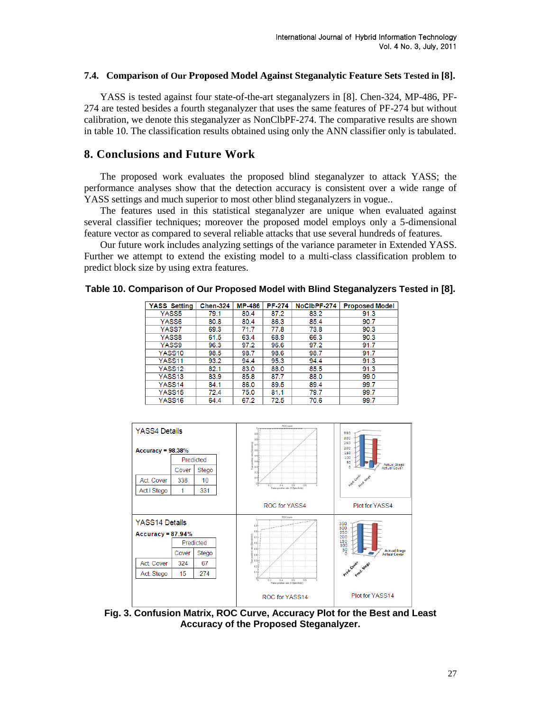#### **7.4. Comparison of Our Proposed Model Against Steganalytic Feature Sets Tested in [8].**

YASS is tested against four state-of-the-art steganalyzers in [8]. Chen-324, MP-486, PF-274 are tested besides a fourth steganalyzer that uses the same features of PF-274 but without calibration, we denote this steganalyzer as NonClbPF-274. The comparative results are shown in table 10. The classification results obtained using only the ANN classifier only is tabulated.

# **8. Conclusions and Future Work**

The proposed work evaluates the proposed blind steganalyzer to attack YASS; the performance analyses show that the detection accuracy is consistent over a wide range of YASS settings and much superior to most other blind steganalyzers in vogue..

The features used in this statistical steganalyzer are unique when evaluated against several classifier techniques; moreover the proposed model employs only a 5-dimensional feature vector as compared to several reliable attacks that use several hundreds of features.

Our future work includes analyzing settings of the variance parameter in Extended YASS. Further we attempt to extend the existing model to a multi-class classification problem to predict block size by using extra features.

| Table 10. Comparison of Our Proposed Model with Blind Steganalyzers Tested in [8]. |  |
|------------------------------------------------------------------------------------|--|
|------------------------------------------------------------------------------------|--|

| <b>YASS Setting</b> | <b>Chen-324</b> | <b>MP-486</b> | <b>PF-274</b> | NoClbPF-274 | <b>Proposed Model</b> |
|---------------------|-----------------|---------------|---------------|-------------|-----------------------|
| YASS5               | 79.1            | 80.4          | 87.2          | 83.2        | 91.3                  |
| YASS6               | 80.8            | 80.4          | 86.3          | 85.4        | 90.7                  |
| YASS7               | 69.3            | 71.7          | 77.8          | 73.8        | 90.3                  |
| YASS8               | 61.5            | 63.4          | 68.9          | 66.3        | 90.3                  |
| YASS9               | 96.3            | 97.2          | 96.6          | 97.2        | 91.7                  |
| YASS <sub>10</sub>  | 98.5            | 98.7          | 98.6          | 98.7        | 91.7                  |
| YASS <sub>11</sub>  | 93.2            | 94.4          | 95.3          | 94.4        | 91.3                  |
| YASS <sub>12</sub>  | 82.1            | 83.0          | 88.0          | 85.5        | 91.3                  |
| YASS <sub>13</sub>  | 83.9            | 85.8          | 87.7          | 88.0        | 99.0                  |
| YASS <sub>14</sub>  | 84.1            | 86.0          | 89.5          | 89.4        | 99.7                  |
| YASS <sub>15</sub>  | 72.4            | 75.0          | 81.1          | 79.7        | 99.7                  |
| YASS <sub>16</sub>  | 64.4            | 67.2          | 72.5          | 70.6        | 99.7                  |



**Fig. 3. Confusion Matrix, ROC Curve, Accuracy Plot for the Best and Least Accuracy of the Proposed Steganalyzer.**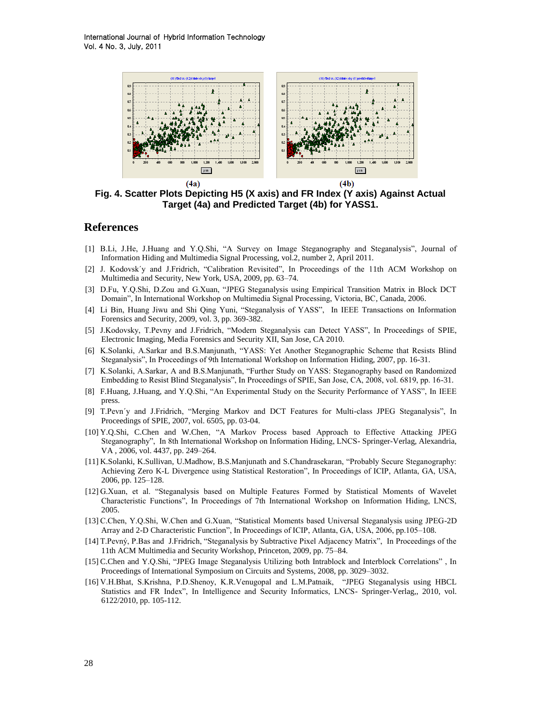International Journal of Hybrid Information Technology Vol. 4 No. 3, July, 2011



**Fig. 4. Scatter Plots Depicting H5 (X axis) and FR Index (Y axis) Against Actual Target (4a) and Predicted Target (4b) for YASS1.**

# **References**

- [1] B.Li, J.He, J.Huang and Y.Q.Shi, "A Survey on Image Steganography and Steganalysis", Journal of Information Hiding and Multimedia Signal Processing, vol.2, number 2, April 2011.
- [2] J. Kodovsk´y and J.Fridrich, "Calibration Revisited", In Proceedings of the 11th ACM Workshop on Multimedia and Security, New York, USA, 2009, pp. 63–74.
- [3] D.Fu, Y.Q.Shi, D.Zou and G.Xuan, "JPEG Steganalysis using Empirical Transition Matrix in Block DCT Domain", In International Workshop on Multimedia Signal Processing, Victoria, BC, Canada, 2006.
- [4] Li Bin, Huang Jiwu and Shi Qing Yuni, "Steganalysis of YASS", In IEEE Transactions on Information Forensics and Security, 2009, vol. 3, pp. 369-382.
- [5] J.Kodovsky, T.Pevny and J.Fridrich, "Modern Steganalysis can Detect YASS", In Proceedings of SPIE, Electronic Imaging, Media Forensics and Security XII, San Jose, CA 2010.
- [6] K.Solanki, A.Sarkar and B.S.Manjunath, "YASS: Yet Another Steganographic Scheme that Resists Blind Steganalysis", In Proceedings of 9th International Workshop on Information Hiding, 2007, pp. 16-31.
- [7] K.Solanki, A.Sarkar, A and B.S.Manjunath, "Further Study on YASS: Steganography based on Randomized Embedding to Resist Blind Steganalysis", In Proceedings of SPIE, San Jose, CA, 2008, vol. 6819, pp. 16-31.
- [8] F.Huang, J.Huang, and Y.Q.Shi, "An Experimental Study on the Security Performance of YASS", In IEEE press.
- [9] T.Pevn´y and J.Fridrich, "Merging Markov and DCT Features for Multi-class JPEG Steganalysis", In Proceedings of SPIE, 2007, vol. 6505, pp. 03-04.
- [10] Y.Q.Shi, C.Chen and W.Chen, "A Markov Process based Approach to Effective Attacking JPEG Steganography", In 8th International Workshop on Information Hiding, LNCS- Springer-Verlag, Alexandria, VA , 2006, vol. 4437, pp. 249–264.
- [11] K.Solanki, K.Sullivan, U.Madhow, B.S.Manjunath and S.Chandrasekaran, "Probably Secure Steganography: Achieving Zero K-L Divergence using Statistical Restoration", In Proceedings of ICIP, Atlanta, GA, USA, 2006, pp. 125–128.
- [12] G.Xuan, et al. "Steganalysis based on Multiple Features Formed by Statistical Moments of Wavelet Characteristic Functions", In Proceedings of 7th International Workshop on Information Hiding, LNCS, 2005.
- [13] C.Chen, Y.Q.Shi, W.Chen and G.Xuan, "Statistical Moments based Universal Steganalysis using JPEG-2D Array and 2-D Characteristic Function", In Proceedings of ICIP, Atlanta, GA, USA, 2006, pp.105–108.
- [14] T.Pevný, P.Bas and J.Fridrich, "Steganalysis by Subtractive Pixel Adjacency Matrix", In Proceedings of the 11th ACM Multimedia and Security Workshop, Princeton, 2009, pp. 75–84.
- [15] C.Chen and Y.Q.Shi, "JPEG Image Steganalysis Utilizing both Intrablock and Interblock Correlations" , In Proceedings of International Symposium on Circuits and Systems, 2008, pp. 3029–3032.
- [16] V.H.Bhat, S.Krishna, P.D.Shenoy, K.R.Venugopal and L.M.Patnaik, "JPEG Steganalysis using HBCL Statistics and FR Index", In Intelligence and Security Informatics, LNCS- Springer-Verlag,, 2010, vol. 6122/2010, pp. 105-112.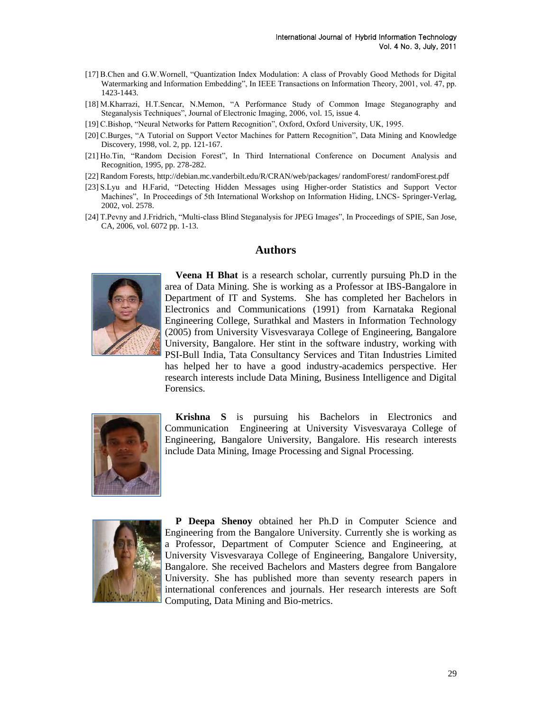- [17] B.Chen and G.W.Wornell, "Quantization Index Modulation: A class of Provably Good Methods for Digital Watermarking and Information Embedding", In IEEE Transactions on Information Theory, 2001, vol. 47, pp. 1423-1443.
- [18] M.Kharrazi, H.T.Sencar, N.Memon, "A Performance Study of Common Image Steganography and Steganalysis Techniques", Journal of Electronic Imaging, 2006, vol. 15, issue 4.
- [19] C.Bishop, "Neural Networks for Pattern Recognition", Oxford, Oxford University, UK, 1995.
- [20] C.Burges, "A Tutorial on Support Vector Machines for Pattern Recognition", Data Mining and Knowledge Discovery, 1998, vol. 2, pp. 121-167.
- [21] Ho.Tin, "Random Decision Forest", In Third International Conference on Document Analysis and Recognition, 1995, pp. 278-282.
- [22] Random Forests, http://debian.mc.vanderbilt.edu/R/CRAN/web/packages/ randomForest/ randomForest.pdf
- [23] S.Lyu and H.Farid, "Detecting Hidden Messages using Higher-order Statistics and Support Vector Machines", In Proceedings of 5th International Workshop on Information Hiding, LNCS- Springer-Verlag, 2002, vol. 2578.
- [24] T.Pevny and J.Fridrich, "Multi-class Blind Steganalysis for JPEG Images", In Proceedings of SPIE, San Jose, CA, 2006, vol. 6072 pp. 1-13.

### **Authors**



**Veena H Bhat** is a research scholar, currently pursuing Ph.D in the area of Data Mining. She is working as a Professor at IBS-Bangalore in Department of IT and Systems. She has completed her Bachelors in Electronics and Communications (1991) from Karnataka Regional Engineering College, Surathkal and Masters in Information Technology (2005) from University Visvesvaraya College of Engineering, Bangalore University, Bangalore. Her stint in the software industry, working with PSI-Bull India, Tata Consultancy Services and Titan Industries Limited has helped her to have a good industry-academics perspective. Her research interests include Data Mining, Business Intelligence and Digital Forensics.



**Krishna S** is pursuing his Bachelors in Electronics and Communication Engineering at University Visvesvaraya College of Engineering, Bangalore University, Bangalore. His research interests include Data Mining, Image Processing and Signal Processing.



**P Deepa Shenoy** obtained her Ph.D in Computer Science and Engineering from the Bangalore University. Currently she is working as a Professor, Department of Computer Science and Engineering, at University Visvesvaraya College of Engineering, Bangalore University, Bangalore. She received Bachelors and Masters degree from Bangalore University. She has published more than seventy research papers in international conferences and journals. Her research interests are Soft Computing, Data Mining and Bio-metrics.